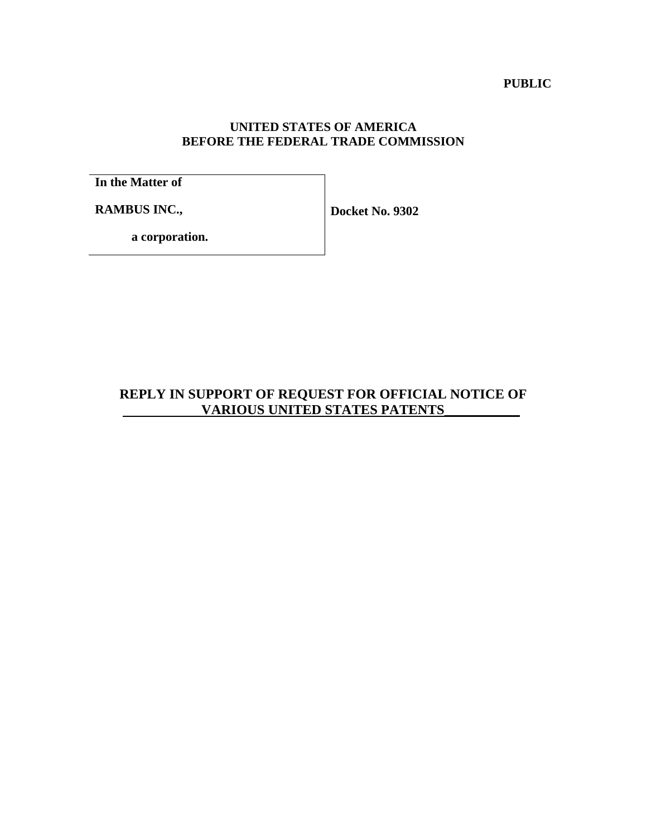**PUBLIC**

## **UNITED STATES OF AMERICA BEFORE THE FEDERAL TRADE COMMISSION**

**In the Matter of**

**RAMBUS INC.,**

**Docket No. 9302**

**a corporation.**

## **REPLY IN SUPPORT OF REQUEST FOR OFFICIAL NOTICE OF VARIOUS UNITED STATES PATENTS**\_\_\_\_\_\_\_\_\_\_\_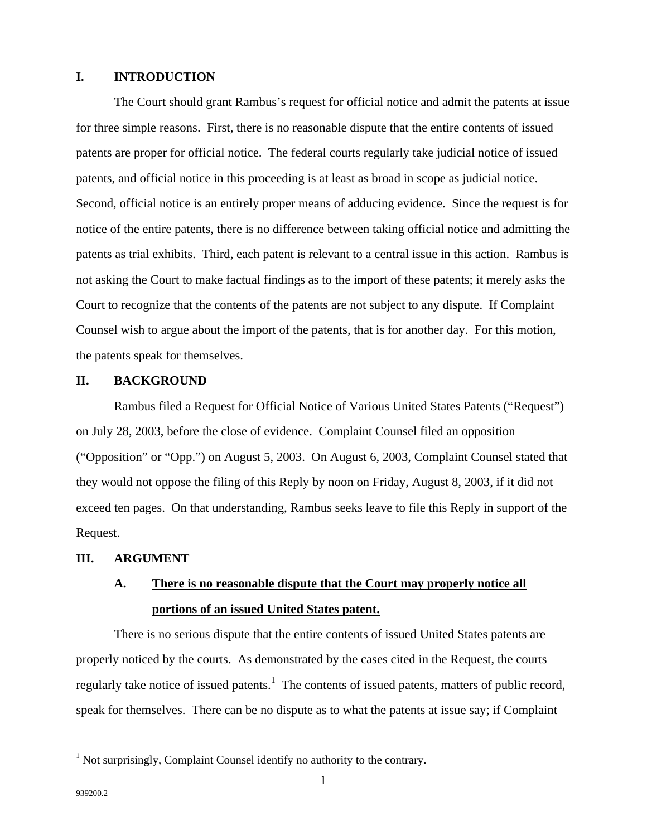## **I. INTRODUCTION**

The Court should grant Rambus's request for official notice and admit the patents at issue for three simple reasons. First, there is no reasonable dispute that the entire contents of issued patents are proper for official notice. The federal courts regularly take judicial notice of issued patents, and official notice in this proceeding is at least as broad in scope as judicial notice. Second, official notice is an entirely proper means of adducing evidence. Since the request is for notice of the entire patents, there is no difference between taking official notice and admitting the patents as trial exhibits. Third, each patent is relevant to a central issue in this action. Rambus is not asking the Court to make factual findings as to the import of these patents; it merely asks the Court to recognize that the contents of the patents are not subject to any dispute. If Complaint Counsel wish to argue about the import of the patents, that is for another day. For this motion, the patents speak for themselves.

### **II. BACKGROUND**

Rambus filed a Request for Official Notice of Various United States Patents ("Request") on July 28, 2003, before the close of evidence. Complaint Counsel filed an opposition ("Opposition" or "Opp.") on August 5, 2003. On August 6, 2003, Complaint Counsel stated that they would not oppose the filing of this Reply by noon on Friday, August 8, 2003, if it did not exceed ten pages. On that understanding, Rambus seeks leave to file this Reply in support of the Request.

## **III. ARGUMENT**

# **A. There is no reasonable dispute that the Court may properly notice all portions of an issued United States patent.**

There is no serious dispute that the entire contents of issued United States patents are properly noticed by the courts. As demonstrated by the cases cited in the Request, the courts regularly take notice of issued patents.<sup>1</sup> The contents of issued patents, matters of public record, speak for themselves. There can be no dispute as to what the patents at issue say; if Complaint

<sup>&</sup>lt;sup>1</sup> Not surprisingly, Complaint Counsel identify no authority to the contrary.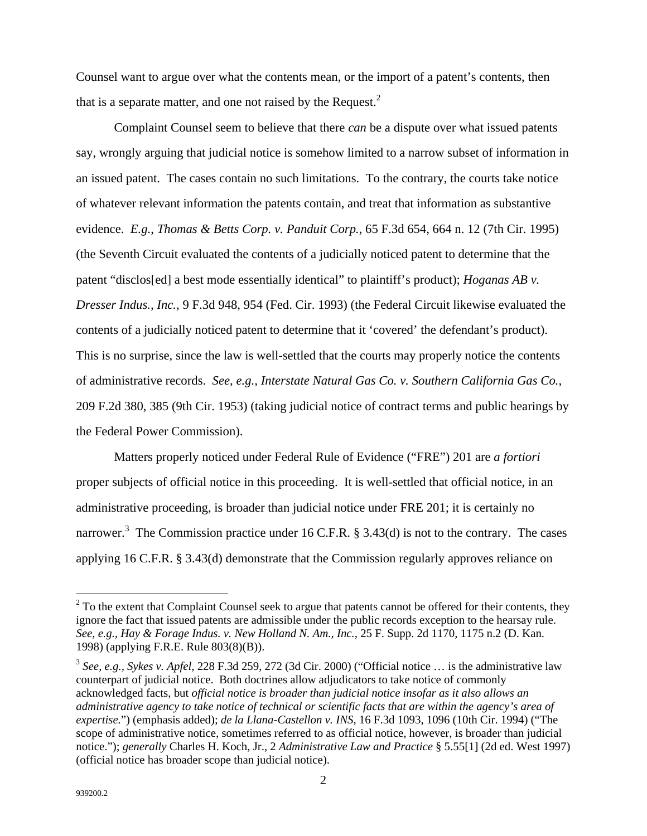Counsel want to argue over what the contents mean, or the import of a patent's contents, then that is a separate matter, and one not raised by the Request.<sup>2</sup>

Complaint Counsel seem to believe that there *can* be a dispute over what issued patents say, wrongly arguing that judicial notice is somehow limited to a narrow subset of information in an issued patent. The cases contain no such limitations. To the contrary, the courts take notice of whatever relevant information the patents contain, and treat that information as substantive evidence. *E.g.*, *Thomas & Betts Corp. v. Panduit Corp.*, 65 F.3d 654, 664 n. 12 (7th Cir. 1995) (the Seventh Circuit evaluated the contents of a judicially noticed patent to determine that the patent "disclos[ed] a best mode essentially identical" to plaintiff's product); *Hoganas AB v. Dresser Indus., Inc.*, 9 F.3d 948, 954 (Fed. Cir. 1993) (the Federal Circuit likewise evaluated the contents of a judicially noticed patent to determine that it 'covered' the defendant's product). This is no surprise, since the law is well-settled that the courts may properly notice the contents of administrative records. *See, e.g., Interstate Natural Gas Co. v. Southern California Gas Co.*, 209 F.2d 380, 385 (9th Cir. 1953) (taking judicial notice of contract terms and public hearings by the Federal Power Commission).

Matters properly noticed under Federal Rule of Evidence ("FRE") 201 are *a fortiori*  proper subjects of official notice in this proceeding. It is well-settled that official notice, in an administrative proceeding, is broader than judicial notice under FRE 201; it is certainly no narrower.<sup>3</sup> The Commission practice under 16 C.F.R. § 3.43(d) is not to the contrary. The cases applying 16 C.F.R. § 3.43(d) demonstrate that the Commission regularly approves reliance on

<u>.</u>

 $2^2$  To the extent that Complaint Counsel seek to argue that patents cannot be offered for their contents, they ignore the fact that issued patents are admissible under the public records exception to the hearsay rule. *See*, *e.g., Hay & Forage Indus. v. New Holland N. Am., Inc.*, 25 F. Supp. 2d 1170, 1175 n.2 (D. Kan. 1998) (applying F.R.E. Rule 803(8)(B)).

<sup>3</sup> *See, e.g., Sykes v. Apfel*, 228 F.3d 259, 272 (3d Cir. 2000) ("Official notice … is the administrative law counterpart of judicial notice. Both doctrines allow adjudicators to take notice of commonly acknowledged facts, but *official notice is broader than judicial notice insofar as it also allows an administrative agency to take notice of technical or scientific facts that are within the agency's area of expertise.*") (emphasis added); *de la Llana-Castellon v. INS*, 16 F.3d 1093, 1096 (10th Cir. 1994) ("The scope of administrative notice, sometimes referred to as official notice, however, is broader than judicial notice."); *generally* Charles H. Koch, Jr., 2 *Administrative Law and Practice* § 5.55[1] (2d ed. West 1997) (official notice has broader scope than judicial notice).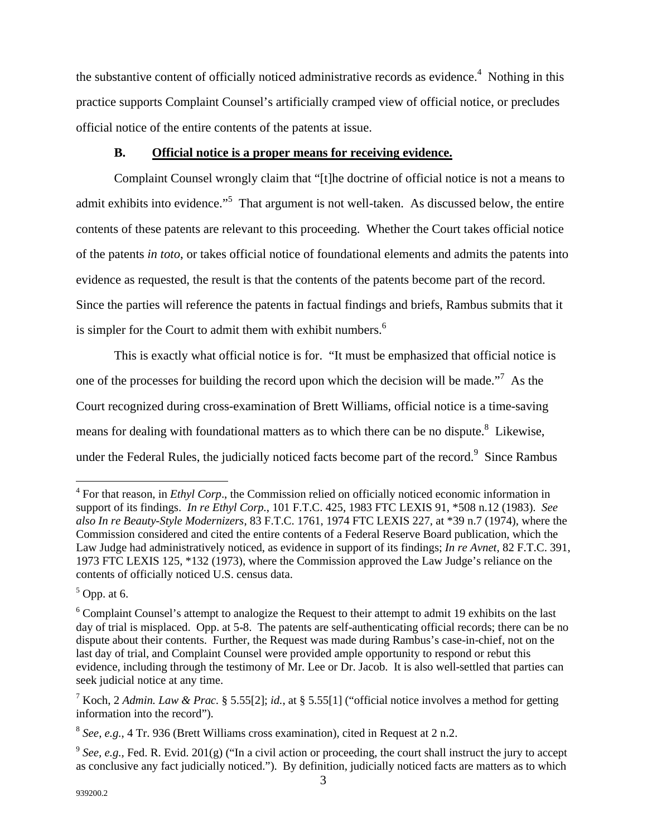the substantive content of officially noticed administrative records as evidence. $4$  Nothing in this practice supports Complaint Counsel's artificially cramped view of official notice, or precludes official notice of the entire contents of the patents at issue.

### **B. Official notice is a proper means for receiving evidence.**

Complaint Counsel wrongly claim that "[t]he doctrine of official notice is not a means to admit exhibits into evidence."<sup>5</sup> That argument is not well-taken. As discussed below, the entire contents of these patents are relevant to this proceeding. Whether the Court takes official notice of the patents *in toto*, or takes official notice of foundational elements and admits the patents into evidence as requested, the result is that the contents of the patents become part of the record. Since the parties will reference the patents in factual findings and briefs, Rambus submits that it is simpler for the Court to admit them with exhibit numbers. $<sup>6</sup>$ </sup>

This is exactly what official notice is for. "It must be emphasized that official notice is one of the processes for building the record upon which the decision will be made. $\frac{1}{2}$  As the Court recognized during cross-examination of Brett Williams, official notice is a time-saving means for dealing with foundational matters as to which there can be no dispute.<sup>8</sup> Likewise, under the Federal Rules, the judicially noticed facts become part of the record. $9$  Since Rambus

<sup>&</sup>lt;sup>4</sup> For that reason, in *Ethyl Corp*., the Commission relied on officially noticed economic information in support of its findings. *In re Ethyl Corp.*, 101 F.T.C. 425, 1983 FTC LEXIS 91, \*508 n.12 (1983). *See also In re Beauty-Style Modernizers*, 83 F.T.C. 1761, 1974 FTC LEXIS 227, at \*39 n.7 (1974), where the Commission considered and cited the entire contents of a Federal Reserve Board publication, which the Law Judge had administratively noticed, as evidence in support of its findings; *In re Avnet*, 82 F.T.C. 391, 1973 FTC LEXIS 125, \*132 (1973), where the Commission approved the Law Judge's reliance on the contents of officially noticed U.S. census data.

 $<sup>5</sup>$  Opp. at 6.</sup>

<sup>&</sup>lt;sup>6</sup> Complaint Counsel's attempt to analogize the Request to their attempt to admit 19 exhibits on the last day of trial is misplaced. Opp. at 5-8. The patents are self-authenticating official records; there can be no dispute about their contents. Further, the Request was made during Rambus's case-in-chief, not on the last day of trial, and Complaint Counsel were provided ample opportunity to respond or rebut this evidence, including through the testimony of Mr. Lee or Dr. Jacob. It is also well-settled that parties can seek judicial notice at any time.

<sup>7</sup> Koch, 2 *Admin. Law & Prac.* § 5.55[2]; *id.*, at § 5.55[1] ("official notice involves a method for getting information into the record").

<sup>8</sup> *See*, *e.g.*, 4 Tr. 936 (Brett Williams cross examination), cited in Request at 2 n.2.

<sup>&</sup>lt;sup>9</sup> See, e.g., Fed. R. Evid. 201(g) ("In a civil action or proceeding, the court shall instruct the jury to accept as conclusive any fact judicially noticed."). By definition, judicially noticed facts are matters as to which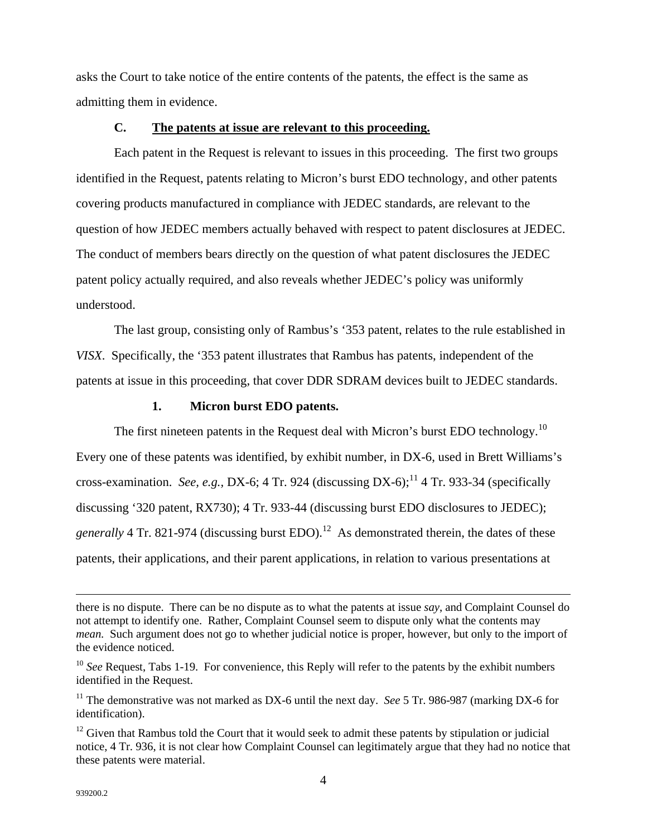asks the Court to take notice of the entire contents of the patents, the effect is the same as admitting them in evidence.

### **C. The patents at issue are relevant to this proceeding.**

Each patent in the Request is relevant to issues in this proceeding. The first two groups identified in the Request, patents relating to Micron's burst EDO technology, and other patents covering products manufactured in compliance with JEDEC standards, are relevant to the question of how JEDEC members actually behaved with respect to patent disclosures at JEDEC. The conduct of members bears directly on the question of what patent disclosures the JEDEC patent policy actually required, and also reveals whether JEDEC's policy was uniformly understood.

The last group, consisting only of Rambus's '353 patent, relates to the rule established in *VISX*. Specifically, the '353 patent illustrates that Rambus has patents, independent of the patents at issue in this proceeding, that cover DDR SDRAM devices built to JEDEC standards.

## **1. Micron burst EDO patents.**

The first nineteen patents in the Request deal with Micron's burst EDO technology.<sup>10</sup> Every one of these patents was identified, by exhibit number, in DX-6, used in Brett Williams's cross-examination. *See, e.g., DX-6*; 4 Tr. 924 (discussing DX-6);<sup>11</sup> 4 Tr. 933-34 (specifically discussing '320 patent, RX730); 4 Tr. 933-44 (discussing burst EDO disclosures to JEDEC); *generally* 4 Tr. 821-974 (discussing burst EDO).<sup>12</sup> As demonstrated therein, the dates of these patents, their applications, and their parent applications, in relation to various presentations at

 $\overline{a}$ 

there is no dispute. There can be no dispute as to what the patents at issue *say*, and Complaint Counsel do not attempt to identify one. Rather, Complaint Counsel seem to dispute only what the contents may *mean.* Such argument does not go to whether judicial notice is proper, however, but only to the import of the evidence noticed.

<sup>&</sup>lt;sup>10</sup> See Request, Tabs 1-19. For convenience, this Reply will refer to the patents by the exhibit numbers identified in the Request.

<sup>&</sup>lt;sup>11</sup> The demonstrative was not marked as DX-6 until the next day. *See* 5 Tr. 986-987 (marking DX-6 for identification).

 $12$  Given that Rambus told the Court that it would seek to admit these patents by stipulation or judicial notice, 4 Tr. 936, it is not clear how Complaint Counsel can legitimately argue that they had no notice that these patents were material.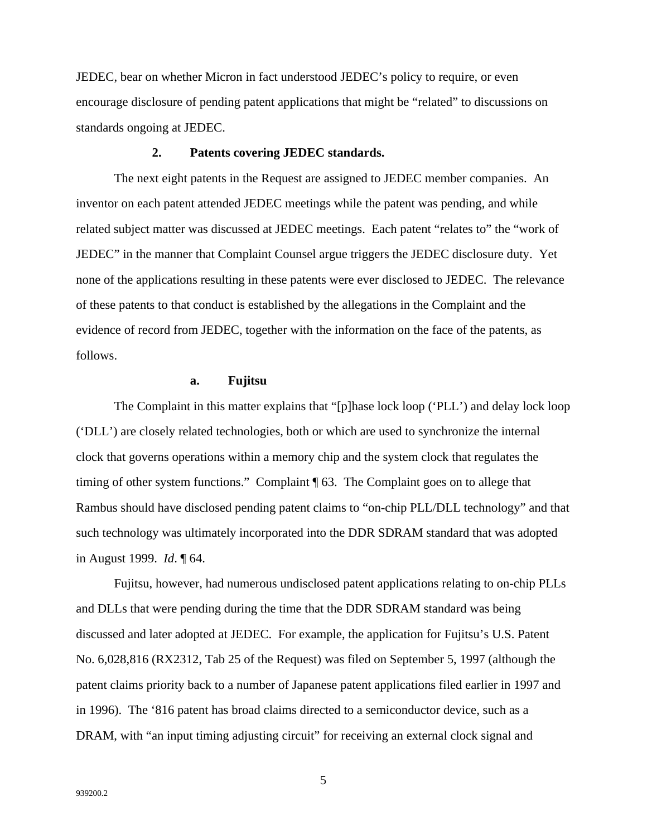JEDEC, bear on whether Micron in fact understood JEDEC's policy to require, or even encourage disclosure of pending patent applications that might be "related" to discussions on standards ongoing at JEDEC.

#### **2. Patents covering JEDEC standards.**

The next eight patents in the Request are assigned to JEDEC member companies. An inventor on each patent attended JEDEC meetings while the patent was pending, and while related subject matter was discussed at JEDEC meetings. Each patent "relates to" the "work of JEDEC" in the manner that Complaint Counsel argue triggers the JEDEC disclosure duty. Yet none of the applications resulting in these patents were ever disclosed to JEDEC. The relevance of these patents to that conduct is established by the allegations in the Complaint and the evidence of record from JEDEC, together with the information on the face of the patents, as follows.

#### **a. Fujitsu**

The Complaint in this matter explains that "[p]hase lock loop ('PLL') and delay lock loop ('DLL') are closely related technologies, both or which are used to synchronize the internal clock that governs operations within a memory chip and the system clock that regulates the timing of other system functions." Complaint ¶ 63. The Complaint goes on to allege that Rambus should have disclosed pending patent claims to "on-chip PLL/DLL technology" and that such technology was ultimately incorporated into the DDR SDRAM standard that was adopted in August 1999. *Id*. ¶ 64.

Fujitsu, however, had numerous undisclosed patent applications relating to on-chip PLLs and DLLs that were pending during the time that the DDR SDRAM standard was being discussed and later adopted at JEDEC. For example, the application for Fujitsu's U.S. Patent No. 6,028,816 (RX2312, Tab 25 of the Request) was filed on September 5, 1997 (although the patent claims priority back to a number of Japanese patent applications filed earlier in 1997 and in 1996). The '816 patent has broad claims directed to a semiconductor device, such as a DRAM, with "an input timing adjusting circuit" for receiving an external clock signal and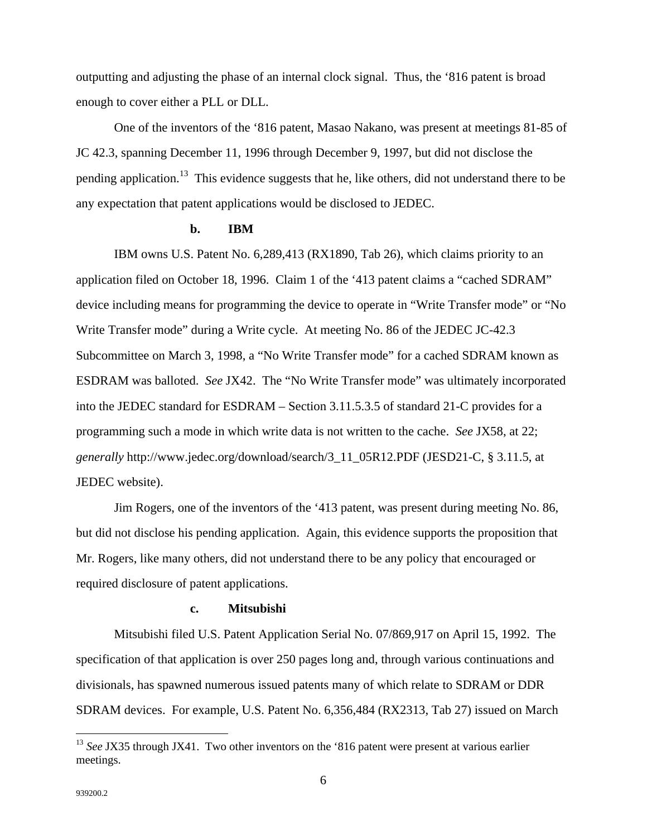outputting and adjusting the phase of an internal clock signal. Thus, the '816 patent is broad enough to cover either a PLL or DLL.

One of the inventors of the '816 patent, Masao Nakano, was present at meetings 81-85 of JC 42.3, spanning December 11, 1996 through December 9, 1997, but did not disclose the pending application.<sup>13</sup> This evidence suggests that he, like others, did not understand there to be any expectation that patent applications would be disclosed to JEDEC.

### **b. IBM**

IBM owns U.S. Patent No. 6,289,413 (RX1890, Tab 26), which claims priority to an application filed on October 18, 1996. Claim 1 of the '413 patent claims a "cached SDRAM" device including means for programming the device to operate in "Write Transfer mode" or "No Write Transfer mode" during a Write cycle. At meeting No. 86 of the JEDEC JC-42.3 Subcommittee on March 3, 1998, a "No Write Transfer mode" for a cached SDRAM known as ESDRAM was balloted. *See* JX42. The "No Write Transfer mode" was ultimately incorporated into the JEDEC standard for ESDRAM – Section 3.11.5.3.5 of standard 21-C provides for a programming such a mode in which write data is not written to the cache. *See* JX58, at 22; *generally* http://www.jedec.org/download/search/3\_11\_05R12.PDF (JESD21-C, § 3.11.5, at JEDEC website).

Jim Rogers, one of the inventors of the '413 patent, was present during meeting No. 86, but did not disclose his pending application. Again, this evidence supports the proposition that Mr. Rogers, like many others, did not understand there to be any policy that encouraged or required disclosure of patent applications.

#### **c. Mitsubishi**

Mitsubishi filed U.S. Patent Application Serial No. 07/869,917 on April 15, 1992. The specification of that application is over 250 pages long and, through various continuations and divisionals, has spawned numerous issued patents many of which relate to SDRAM or DDR SDRAM devices. For example, U.S. Patent No. 6,356,484 (RX2313, Tab 27) issued on March

 $\overline{a}$ 

<sup>&</sup>lt;sup>13</sup> See JX35 through JX41. Two other inventors on the '816 patent were present at various earlier meetings.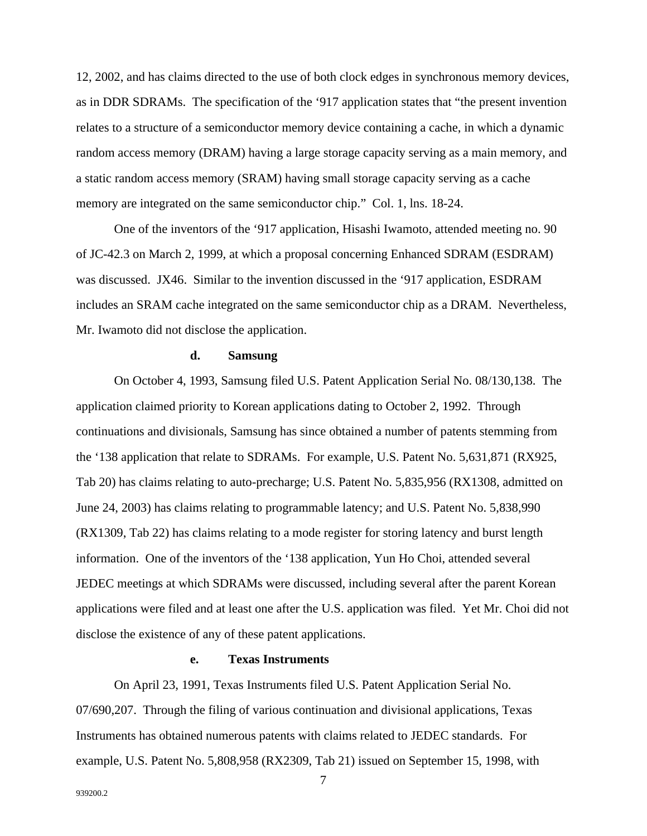12, 2002, and has claims directed to the use of both clock edges in synchronous memory devices, as in DDR SDRAMs. The specification of the '917 application states that "the present invention relates to a structure of a semiconductor memory device containing a cache, in which a dynamic random access memory (DRAM) having a large storage capacity serving as a main memory, and a static random access memory (SRAM) having small storage capacity serving as a cache memory are integrated on the same semiconductor chip." Col. 1, lns. 18-24.

One of the inventors of the '917 application, Hisashi Iwamoto, attended meeting no. 90 of JC-42.3 on March 2, 1999, at which a proposal concerning Enhanced SDRAM (ESDRAM) was discussed. JX46. Similar to the invention discussed in the '917 application, ESDRAM includes an SRAM cache integrated on the same semiconductor chip as a DRAM. Nevertheless, Mr. Iwamoto did not disclose the application.

#### **d. Samsung**

On October 4, 1993, Samsung filed U.S. Patent Application Serial No. 08/130,138. The application claimed priority to Korean applications dating to October 2, 1992. Through continuations and divisionals, Samsung has since obtained a number of patents stemming from the '138 application that relate to SDRAMs. For example, U.S. Patent No. 5,631,871 (RX925, Tab 20) has claims relating to auto-precharge; U.S. Patent No. 5,835,956 (RX1308, admitted on June 24, 2003) has claims relating to programmable latency; and U.S. Patent No. 5,838,990 (RX1309, Tab 22) has claims relating to a mode register for storing latency and burst length information. One of the inventors of the '138 application, Yun Ho Choi, attended several JEDEC meetings at which SDRAMs were discussed, including several after the parent Korean applications were filed and at least one after the U.S. application was filed. Yet Mr. Choi did not disclose the existence of any of these patent applications.

### **e. Texas Instruments**

On April 23, 1991, Texas Instruments filed U.S. Patent Application Serial No. 07/690,207. Through the filing of various continuation and divisional applications, Texas Instruments has obtained numerous patents with claims related to JEDEC standards. For example, U.S. Patent No. 5,808,958 (RX2309, Tab 21) issued on September 15, 1998, with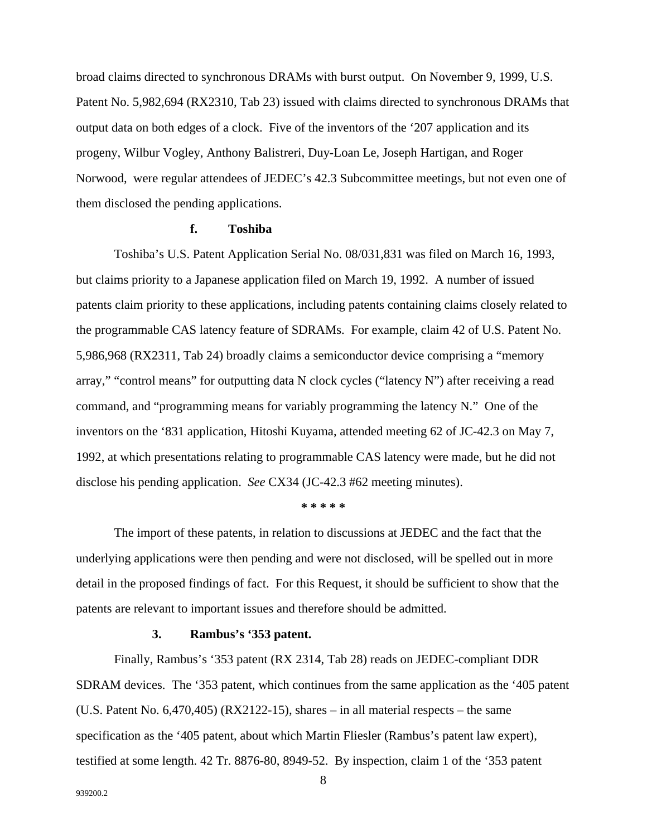broad claims directed to synchronous DRAMs with burst output. On November 9, 1999, U.S. Patent No. 5,982,694 (RX2310, Tab 23) issued with claims directed to synchronous DRAMs that output data on both edges of a clock. Five of the inventors of the '207 application and its progeny, Wilbur Vogley, Anthony Balistreri, Duy-Loan Le, Joseph Hartigan, and Roger Norwood, were regular attendees of JEDEC's 42.3 Subcommittee meetings, but not even one of them disclosed the pending applications.

## **f. Toshiba**

Toshiba's U.S. Patent Application Serial No. 08/031,831 was filed on March 16, 1993, but claims priority to a Japanese application filed on March 19, 1992. A number of issued patents claim priority to these applications, including patents containing claims closely related to the programmable CAS latency feature of SDRAMs. For example, claim 42 of U.S. Patent No. 5,986,968 (RX2311, Tab 24) broadly claims a semiconductor device comprising a "memory array," "control means" for outputting data N clock cycles ("latency N") after receiving a read command, and "programming means for variably programming the latency N." One of the inventors on the '831 application, Hitoshi Kuyama, attended meeting 62 of JC-42.3 on May 7, 1992, at which presentations relating to programmable CAS latency were made, but he did not disclose his pending application. *See* CX34 (JC-42.3 #62 meeting minutes).

**\* \* \* \* \***

The import of these patents, in relation to discussions at JEDEC and the fact that the underlying applications were then pending and were not disclosed, will be spelled out in more detail in the proposed findings of fact. For this Request, it should be sufficient to show that the patents are relevant to important issues and therefore should be admitted.

## **3. Rambus's '353 patent.**

Finally, Rambus's '353 patent (RX 2314, Tab 28) reads on JEDEC-compliant DDR SDRAM devices. The '353 patent, which continues from the same application as the '405 patent (U.S. Patent No. 6,470,405) (RX2122-15), shares – in all material respects – the same specification as the '405 patent, about which Martin Fliesler (Rambus's patent law expert), testified at some length. 42 Tr. 8876-80, 8949-52. By inspection, claim 1 of the '353 patent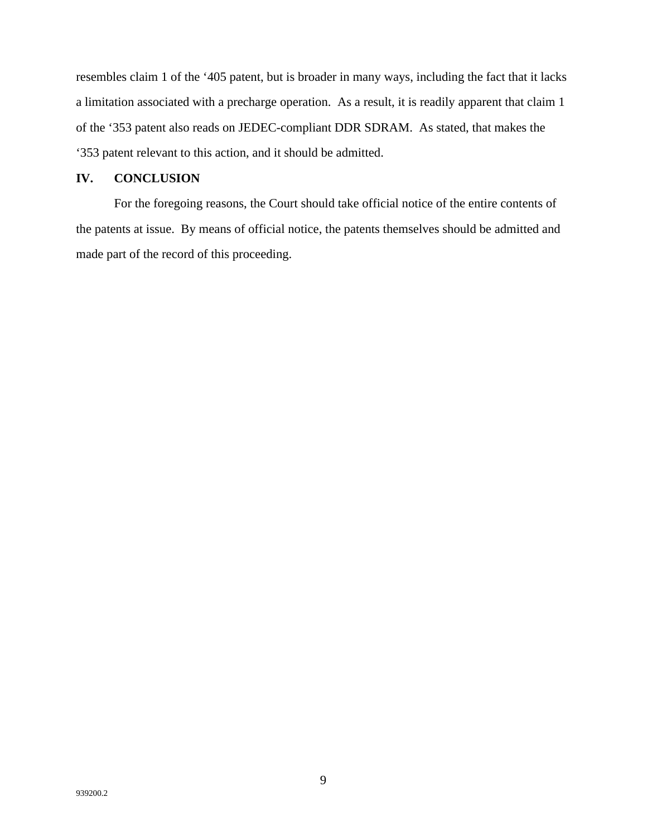resembles claim 1 of the '405 patent, but is broader in many ways, including the fact that it lacks a limitation associated with a precharge operation. As a result, it is readily apparent that claim 1 of the '353 patent also reads on JEDEC-compliant DDR SDRAM. As stated, that makes the '353 patent relevant to this action, and it should be admitted.

## **IV. CONCLUSION**

For the foregoing reasons, the Court should take official notice of the entire contents of the patents at issue. By means of official notice, the patents themselves should be admitted and made part of the record of this proceeding.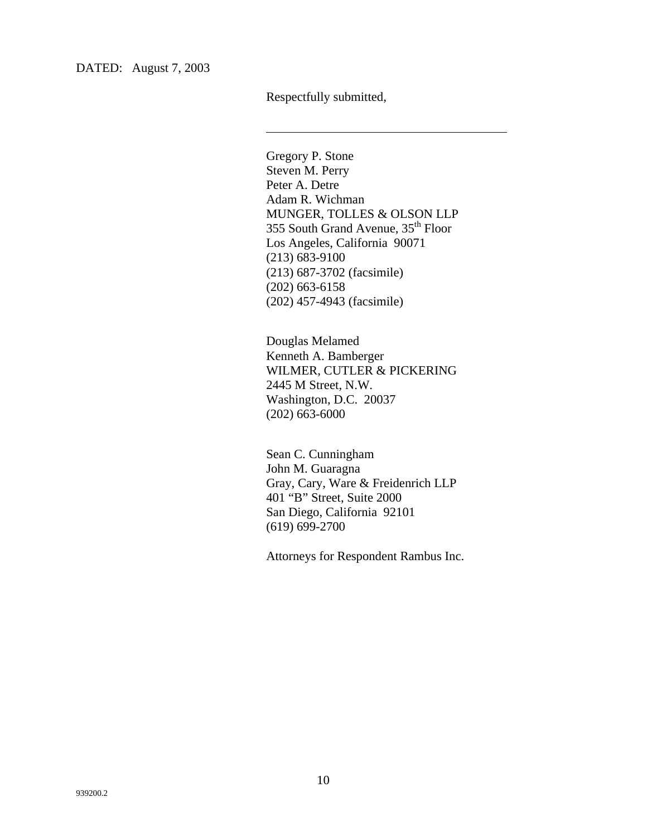DATED: August 7, 2003

Respectfully submitted,

l

Gregory P. Stone Steven M. Perry Peter A. Detre Adam R. Wichman MUNGER, TOLLES & OLSON LLP 355 South Grand Avenue, 35<sup>th</sup> Floor Los Angeles, California 90071 (213) 683-9100 (213) 687-3702 (facsimile) (202) 663-6158 (202) 457-4943 (facsimile)

Douglas Melamed Kenneth A. Bamberger WILMER, CUTLER & PICKERING 2445 M Street, N.W. Washington, D.C. 20037 (202) 663-6000

Sean C. Cunningham John M. Guaragna Gray, Cary, Ware & Freidenrich LLP 401 "B" Street, Suite 2000 San Diego, California 92101 (619) 699-2700

Attorneys for Respondent Rambus Inc.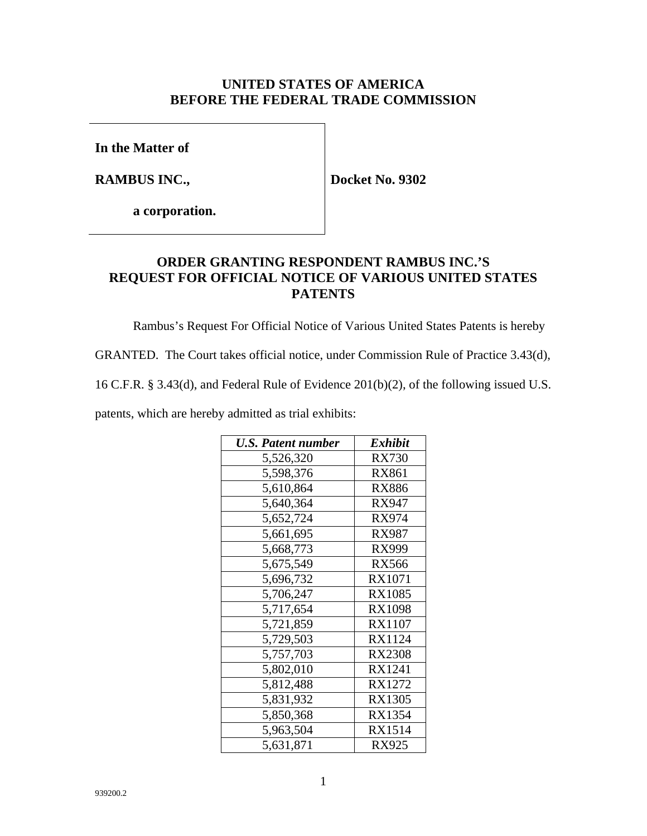## **UNITED STATES OF AMERICA BEFORE THE FEDERAL TRADE COMMISSION**

**In the Matter of**

**RAMBUS INC.,**

**Docket No. 9302**

**a corporation.**

## **ORDER GRANTING RESPONDENT RAMBUS INC.'S REQUEST FOR OFFICIAL NOTICE OF VARIOUS UNITED STATES PATENTS**

Rambus's Request For Official Notice of Various United States Patents is hereby

GRANTED. The Court takes official notice, under Commission Rule of Practice 3.43(d),

16 C.F.R. § 3.43(d), and Federal Rule of Evidence 201(b)(2), of the following issued U.S.

patents, which are hereby admitted as trial exhibits:

| <b>U.S. Patent number</b> | Exhibit       |
|---------------------------|---------------|
| 5,526,320                 | <b>RX730</b>  |
| 5,598,376                 | RX861         |
| 5,610,864                 | RX886         |
| 5,640,364                 | RX947         |
| 5,652,724                 | RX974         |
| 5,661,695                 | RX987         |
| 5,668,773                 | RX999         |
| 5,675,549                 | <b>RX566</b>  |
| 5,696,732                 | RX1071        |
| 5,706,247                 | RX1085        |
| 5,717,654                 | RX1098        |
| 5,721,859                 | RX1107        |
| 5,729,503                 | RX1124        |
| 5,757,703                 | <b>RX2308</b> |
| 5,802,010                 | RX1241        |
| 5,812,488                 | RX1272        |
| 5,831,932                 | <b>RX1305</b> |
| 5,850,368                 | RX1354        |
| 5,963,504                 | RX1514        |
| 5,631,871                 | RX925         |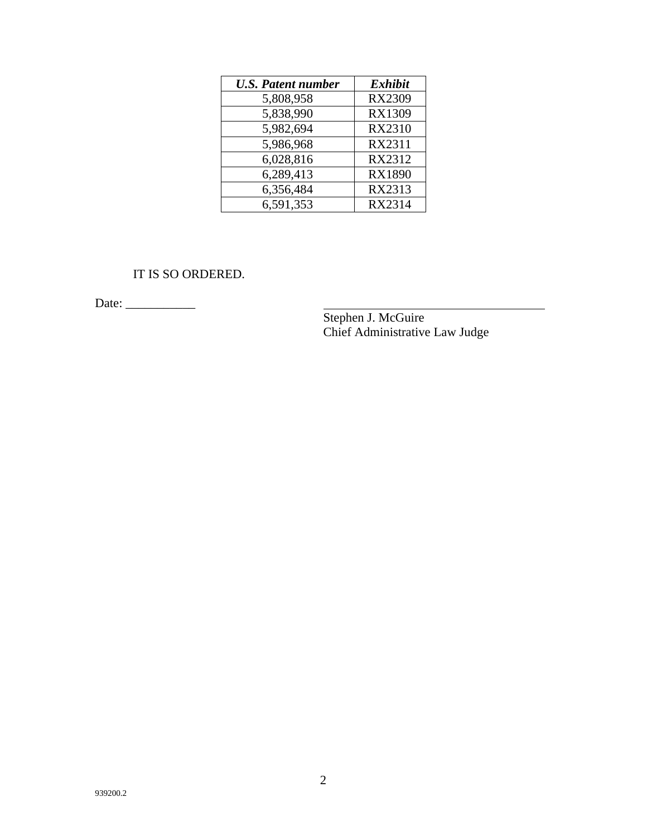| <b>U.S. Patent number</b> | <b>Exhibit</b> |
|---------------------------|----------------|
| 5,808,958                 | <b>RX2309</b>  |
| 5,838,990                 | <b>RX1309</b>  |
| 5,982,694                 | <b>RX2310</b>  |
| 5,986,968                 | RX2311         |
| 6,028,816                 | RX2312         |
| 6,289,413                 | <b>RX1890</b>  |
| 6,356,484                 | RX2313         |
| 6,591,353                 | RX2314         |

IT IS SO ORDERED.

Date: \_\_\_\_\_\_\_\_\_\_\_

Stephen J. McGuire Chief Administrative Law Judge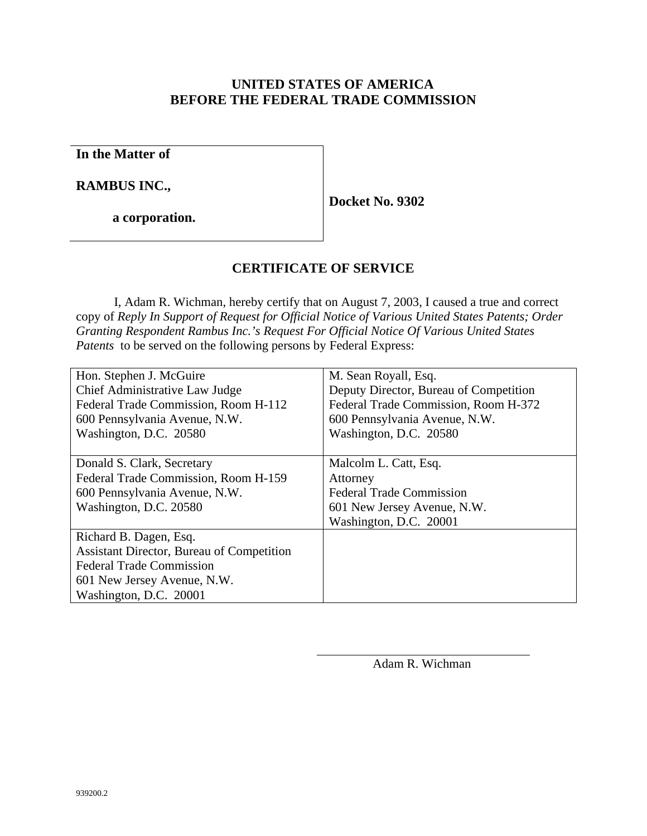## **UNITED STATES OF AMERICA BEFORE THE FEDERAL TRADE COMMISSION**

**In the Matter of**

**RAMBUS INC.,**

**a corporation.**

**Docket No. 9302**

## **CERTIFICATE OF SERVICE**

I, Adam R. Wichman, hereby certify that on August 7, 2003, I caused a true and correct copy of *Reply In Support of Request for Official Notice of Various United States Patents; Order Granting Respondent Rambus Inc.'s Request For Official Notice Of Various United States Patents* to be served on the following persons by Federal Express:

| Hon. Stephen J. McGuire                          | M. Sean Royall, Esq.                   |
|--------------------------------------------------|----------------------------------------|
| Chief Administrative Law Judge                   | Deputy Director, Bureau of Competition |
| Federal Trade Commission, Room H-112             | Federal Trade Commission, Room H-372   |
| 600 Pennsylvania Avenue, N.W.                    | 600 Pennsylvania Avenue, N.W.          |
| Washington, D.C. 20580                           | Washington, D.C. 20580                 |
|                                                  |                                        |
| Donald S. Clark, Secretary                       | Malcolm L. Catt, Esq.                  |
| Federal Trade Commission, Room H-159             | Attorney                               |
| 600 Pennsylvania Avenue, N.W.                    | <b>Federal Trade Commission</b>        |
| Washington, D.C. 20580                           | 601 New Jersey Avenue, N.W.            |
|                                                  | Washington, D.C. 20001                 |
| Richard B. Dagen, Esq.                           |                                        |
| <b>Assistant Director, Bureau of Competition</b> |                                        |
| <b>Federal Trade Commission</b>                  |                                        |
| 601 New Jersey Avenue, N.W.                      |                                        |
| Washington, D.C. 20001                           |                                        |

l

Adam R. Wichman